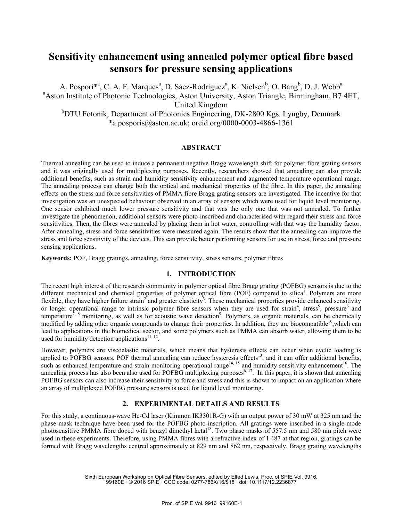# **Sensitivity enhancement using annealed polymer optical fibre based sensors for pressure sensing applications**

A. Pospori\*<sup>a</sup>, C. A. F. Marques<sup>a</sup>, D. Sáez-Rodríguez<sup>a</sup>, K. Nielsen<sup>b</sup>, O. Bang<sup>b</sup>, D. J. Webb<sup>a</sup> <sup>a</sup> Aston Institute of Photonic Technologies, Aston University, Aston Triangle, Birmingham, B7 4ET, United Kingdom <sup>b</sup>DTU Fotonik, Department of Photonics Engineering, DK-2800 Kgs. Lyngby, Denmark \*a.posporis@aston.ac.uk; orcid.org/0000-0003-4866-1361

#### **ABSTRACT**

Thermal annealing can be used to induce a permanent negative Bragg wavelength shift for polymer fibre grating sensors and it was originally used for multiplexing purposes. Recently, researchers showed that annealing can also provide additional benefits, such as strain and humidity sensitivity enhancement and augmented temperature operational range. The annealing process can change both the optical and mechanical properties of the fibre. In this paper, the annealing effects on the stress and force sensitivities of PMMA fibre Bragg grating sensors are investigated. The incentive for that investigation was an unexpected behaviour observed in an array of sensors which were used for liquid level monitoring. One sensor exhibited much lower pressure sensitivity and that was the only one that was not annealed. To further investigate the phenomenon, additional sensors were photo-inscribed and characterised with regard their stress and force sensitivities. Then, the fibres were annealed by placing them in hot water, controlling with that way the humidity factor. After annealing, stress and force sensitivities were measured again. The results show that the annealing can improve the stress and force sensitivity of the devices. This can provide better performing sensors for use in stress, force and pressure sensing applications.

**Keywords:** POF, Bragg gratings, annealing, force sensitivity, stress sensors, polymer fibres

### **1. INTRODUCTION**

The recent high interest of the research community in polymer optical fibre Bragg grating (POFBG) sensors is due to the different mechanical and chemical properties of polymer optical fibre (POF) compared to silica<sup>1</sup>. Polymers are more flexible, they have higher failure strain<sup>2</sup> and greater elasticity<sup>3</sup>. These mechanical properties provide enhanced sensitivity or longer operational range to intrinsic polymer fibre sensors when they are used for strain<sup>4</sup>, stress<sup>5</sup>, pressure<sup>6</sup> and temperature<sup>7, 8</sup> monitoring, as well as for acoustic wave detection<sup>9</sup>. Polymers, as organic materials, can be chemically modified by adding other organic compounds to change their properties. In addition, they are biocompatible<sup>10</sup>, which can lead to applications in the biomedical sector, and some polymers such as PMMA can absorb water, allowing them to be used for humidity detection applications<sup>11, 12</sup>

However, polymers are viscoelastic materials, which means that hysteresis effects can occur when cyclic loading is applied to POFBG sensors. POF thermal annealing can reduce hysteresis effects<sup>13</sup>, and it can offer additional benefits, such as enhanced temperature and strain monitoring operational range<sup>14, 15</sup> and humidity sensitivity enhancement<sup>16</sup>. The annealing process has also been also used for POFBG multiplexing purposes<sup>6, 17</sup>. In this paper, it is shown that annealing POFBG sensors can also increase their sensitivity to force and stress and this is shown to impact on an application where an array of multiplexed POFBG pressure sensors is used for liquid level monitoring.

### **2. EXPERIMENTAL DETAILS AND RESULTS**

For this study, a continuous-wave He-Cd laser (Kimmon IK3301R-G) with an output power of 30 mW at 325 nm and the phase mask technique have been used for the POFBG photo-inscription. All gratings were inscribed in a single-mode photosensitive PMMA fibre doped with benzyl dimethyl ketal<sup>18</sup>. Two phase masks of 557.5 nm and 580 nm pitch were used in these experiments. Therefore, using PMMA fibres with a refractive index of 1.487 at that region, gratings can be formed with Bragg wavelengths centred approximately at 829 nm and 862 nm, respectively. Bragg grating wavelengths

> Sixth European Workshop on Optical Fibre Sensors, edited by Elfed Lewis, Proc. of SPIE Vol. 9916, 99160E · © 2016 SPIE · CCC code: 0277-786X/16/\$18 · doi: 10.1117/12.2236877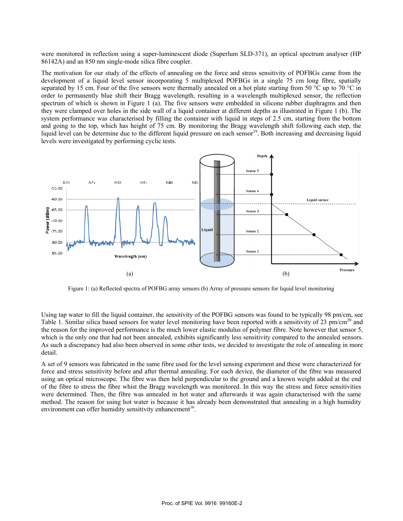were monitored in reflection using a super-luminescent diode (Superlum SLD-371), an optical spectrum 86142A) and an 850 nm single-mode silica fibre coupler.

The motivation for our study of the effects of annealing on the force and stress sensitivity of POFBGs came from the development of a liquid level sensor incorporating 5 multiplexed POFBGs in a single 75 cm long fibre, spatially separated by 15 cm. Four of the five sensors were thermally annealed on a hot plate starting from 50  $\degree$ C up to 70  $\degree$ C in order to permanently blue shift their Bragg wavelength, resulting in a wavelength multiplexed sensor, the reflection spectrum of which is shown in Figure 1 (a). The five sensors were embedded in silicone rubber diaphragms and then they were clamped over holes in the side wall of a liquid container at different depths as illustrated in Figure 1 (b). The system performance was characterised by filling the container with liquid in steps of 2.5 cm, starting from the bottom and going to the top, which has height of 75 cm. By monitoring the Bragg wavelength shift following each step, the liquid level can be determine due to the different liquid pressure on each sensor<sup>19</sup>. Both increasing and decreasing liquid levels were investigated by performing cyclic tests.



Figure 1: (a) Reflected spectra of POFBG array sensors (b) Array of pressure sensors for liquid level monitoring

Using tap water to fill the liquid container, the sensitivity of the POFBG sensors was found to be typically 98 pm/cm, se Table 1. Similar silica based sensors for water level monitoring have been reported with a sensitivity of 23 pm/cm<sup>20</sup> and the reason for the improved performance is the much lower elastic modulus of polymer fibre. Note however that sensor 5, which is the only one that had not been annealed, exhibits significantly less sensitivity compared to the annealed sensors. As such a discrepancy had also been observed in some other tests, we decided to investigate the role of annealing in more detail.

A set of 9 sensors was fabricated in the same fibre used for the level sensing experiment and these were characterized for force and stress sensitivity before and after thermal annealing. For each device, the diameter of the fibre was measured using an optical microscope. The fibre was then held perpendicular to the ground and a known weight added at the end of the fibre to stress the fibre whist the Bragg wavelength was monitored. In this way the stress and force sensitivities were determined. Then, the fibre was annealed in hot water and afterwards it was again characterised with the same method. The reason for using hot water is because it has already been demonstrated that annealing in a high humidity environment can offer humidity sensitivity enhancement<sup>16</sup>. ordd<br>dse<br>ey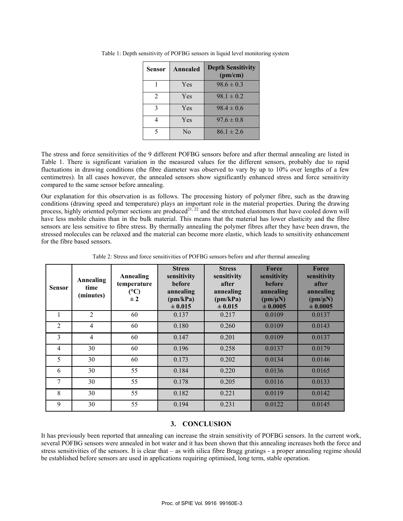| Sensor | <b>Annealed</b> | <b>Depth Sensitivity</b><br>(pm/cm) |  |
|--------|-----------------|-------------------------------------|--|
|        | Yes             | $98.6 \pm 0.3$                      |  |
| 2      | Yes             | $98.1 \pm 0.2$                      |  |
| 3      | Yes             | $98.4 \pm 0.6$                      |  |
|        | Yes             | $97.6 \pm 0.8$                      |  |
|        | N <sub>0</sub>  | $86.1 \pm 2.6$                      |  |

Table 1: Depth sensitivity of POFBG sensors in liquid level monitoring system

The stress and force sensitivities of the 9 different POFBG sensors before and after thermal annealing are listed in Table 1. There is significant variation in the measured values for the different sensors, probably due to rapid fluctuations in drawing conditions (the fibre diameter was observed to vary by up to 10% over lengths of a few centimetres). In all cases however, the annealed sensors show significantly enhanced stress and force sensitivity compared to the same sensor before annealing.

Our explanation for this observation is as follows. The processing history of polymer fibre, such as the drawing conditions (drawing speed and temperature) plays an important role in the material properties. During the drawing process, highly oriented polymer sections are produced<sup>21, 22</sup> and the stretched elastomers that have cooled down will have less mobile chains than in the bulk material. This means that the material has lower elasticity and the fibre sensors are less sensitive to fibre stress. By thermally annealing the polymer fibres after they have been drawn, the stressed molecules can be relaxed and the material can become more elastic, which leads to sensitivity enhancement for the fibre based sensors.

| <b>Sensor</b>  | Annealing<br>time<br>(minutes) | <b>Annealing</b><br>temperature<br>(C)<br>$\pm 2$ | <b>Stress</b><br>sensitivity<br><b>before</b><br>annealing<br>(pm/kPa)<br>± 0.015 | <b>Stress</b><br>sensitivity<br>after<br>annealing<br>(pm/kPa)<br>$\pm 0.015$ | Force<br>sensitivity<br>before<br>annealing<br>$(pm/\mu N)$<br>± 0.0005 | Force<br>sensitivity<br>after<br>annealing<br>$(pm/\mu N)$<br>± 0.0005 |
|----------------|--------------------------------|---------------------------------------------------|-----------------------------------------------------------------------------------|-------------------------------------------------------------------------------|-------------------------------------------------------------------------|------------------------------------------------------------------------|
|                | $\overline{2}$                 | 60                                                | 0.137                                                                             | 0.217                                                                         | 0.0109                                                                  | 0.0137                                                                 |
| $\overline{2}$ | 4                              | 60                                                | 0.180                                                                             | 0.260                                                                         | 0.0109                                                                  | 0.0143                                                                 |
| 3              | $\overline{4}$                 | 60                                                | 0.147                                                                             | 0.201                                                                         | 0.0109                                                                  | 0.0137                                                                 |
| $\overline{4}$ | 30                             | 60                                                | 0.196                                                                             | 0.258                                                                         | 0.0137                                                                  | 0.0179                                                                 |
| 5              | 30                             | 60                                                | 0.173                                                                             | 0.202                                                                         | 0.0134                                                                  | 0.0146                                                                 |
| 6              | 30                             | 55                                                | 0.184                                                                             | 0.220                                                                         | 0.0136                                                                  | 0.0165                                                                 |
| 7              | 30                             | 55                                                | 0.178                                                                             | 0.205                                                                         | 0.0116                                                                  | 0.0133                                                                 |
| 8              | 30                             | 55                                                | 0.182                                                                             | 0.221                                                                         | 0.0119                                                                  | 0.0142                                                                 |
| 9              | 30                             | 55                                                | 0.194                                                                             | 0.231                                                                         | 0.0122                                                                  | 0.0145                                                                 |

Table 2: Stress and force sensitivities of POFBG sensors before and after thermal annealing

## **3. CONCLUSION**

It has previously been reported that annealing can increase the strain sensitivity of POFBG sensors. In the current work, several POFBG sensors were annealed in hot water and it has been shown that this annealing increases both the force and stress sensitivities of the sensors. It is clear that – as with silica fibre Bragg gratings - a proper annealing regime should be established before sensors are used in applications requiring optimised, long term, stable operation.